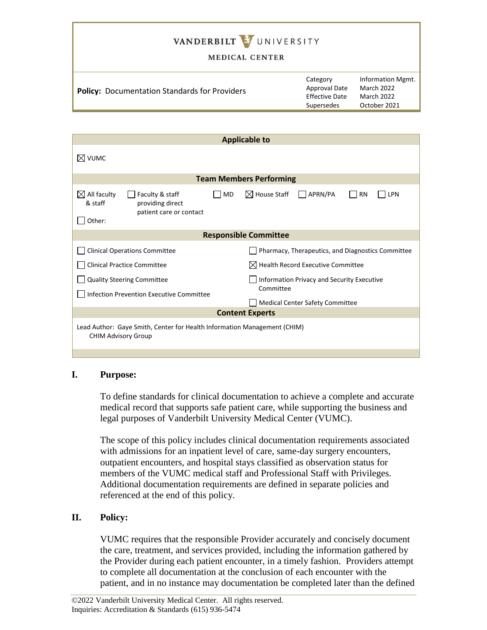#### MEDICAL CENTER

| <b>Policy: Documentation Standards for Providers</b> | Category<br>Approval Date<br>Effective Date<br>Supersedes | Information Mgmt.<br>March 2022<br>March 2022<br>October 2021 |
|------------------------------------------------------|-----------------------------------------------------------|---------------------------------------------------------------|
|                                                      |                                                           |                                                               |

| <b>Applicable to</b>                                                                                                 |                                                        |  |  |
|----------------------------------------------------------------------------------------------------------------------|--------------------------------------------------------|--|--|
| $\boxtimes$ vumc                                                                                                     |                                                        |  |  |
| <b>Team Members Performing</b>                                                                                       |                                                        |  |  |
| $\boxtimes$ All faculty<br>Faculty & staff<br>MD<br>& staff<br>providing direct<br>patient care or contact<br>Other: | $\boxtimes$ House Staff<br>APRN/PA<br><b>RN</b><br>LPN |  |  |
| <b>Responsible Committee</b>                                                                                         |                                                        |  |  |
| <b>Clinical Operations Committee</b><br>Pharmacy, Therapeutics, and Diagnostics Committee                            |                                                        |  |  |
| $\boxtimes$ Health Record Executive Committee<br><b>Clinical Practice Committee</b>                                  |                                                        |  |  |
| <b>Quality Steering Committee</b><br>Information Privacy and Security Executive                                      |                                                        |  |  |
| Committee<br><b>Infection Prevention Executive Committee</b><br><b>Medical Center Safety Committee</b>               |                                                        |  |  |
| <b>Content Experts</b>                                                                                               |                                                        |  |  |
| Lead Author: Gaye Smith, Center for Health Information Management (CHIM)<br><b>CHIM Advisory Group</b>               |                                                        |  |  |

## **I. Purpose:**

To define standards for clinical documentation to achieve a complete and accurate medical record that supports safe patient care, while supporting the business and legal purposes of Vanderbilt University Medical Center (VUMC).

The scope of this policy includes clinical documentation requirements associated with admissions for an inpatient level of care, same-day surgery encounters, outpatient encounters, and hospital stays classified as observation status for members of the VUMC medical staff and Professional Staff with Privileges. Additional documentation requirements are defined in separate policies and referenced at the end of this policy.

## **II. Policy:**

VUMC requires that the responsible Provider accurately and concisely document the care, treatment, and services provided, including the information gathered by the Provider during each patient encounter, in a timely fashion. Providers attempt to complete all documentation at the conclusion of each encounter with the patient, and in no instance may documentation be completed later than the defined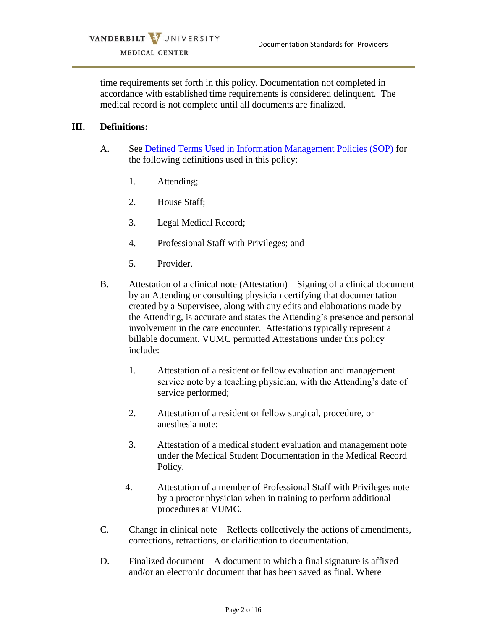time requirements set forth in this policy. Documentation not completed in accordance with established time requirements is considered delinquent. The medical record is not complete until all documents are finalized.

## **III. Definitions:**

- A. See [Defined Terms Used in Information Management Policies \(SOP\)](https://vanderbilt.policytech.com/docview/?docid=28877) for the following definitions used in this policy:
	- 1. Attending;
	- 2. House Staff;
	- 3. Legal Medical Record;
	- 4. Professional Staff with Privileges; and
	- 5. Provider.
- B. Attestation of a clinical note (Attestation) Signing of a clinical document by an Attending or consulting physician certifying that documentation created by a Supervisee, along with any edits and elaborations made by the Attending, is accurate and states the Attending's presence and personal involvement in the care encounter. Attestations typically represent a billable document. VUMC permitted Attestations under this policy include:
	- 1. Attestation of a resident or fellow evaluation and management service note by a teaching physician, with the Attending's date of service performed;
	- 2. Attestation of a resident or fellow surgical, procedure, or anesthesia note;
	- 3. Attestation of a medical student evaluation and management note under the Medical Student Documentation in the Medical Record Policy.
	- 4. Attestation of a member of Professional Staff with Privileges note by a proctor physician when in training to perform additional procedures at VUMC.
- C. Change in clinical note Reflects collectively the actions of amendments, corrections, retractions, or clarification to documentation.
- D. Finalized document A document to which a final signature is affixed and/or an electronic document that has been saved as final. Where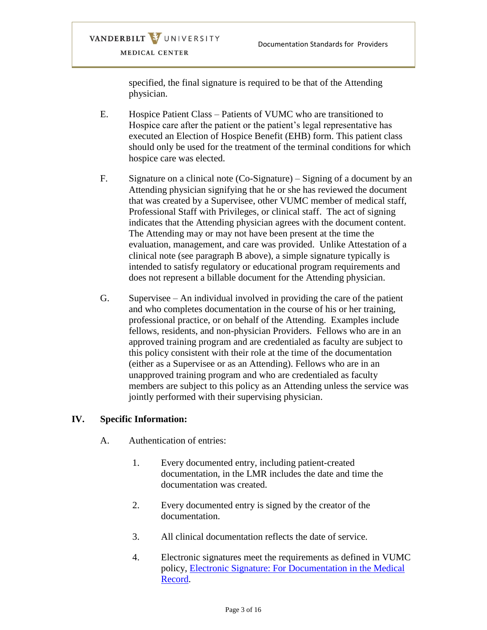specified, the final signature is required to be that of the Attending physician.

- E. Hospice Patient Class Patients of VUMC who are transitioned to Hospice care after the patient or the patient's legal representative has executed an Election of Hospice Benefit (EHB) form. This patient class should only be used for the treatment of the terminal conditions for which hospice care was elected.
- F. Signature on a clinical note (Co-Signature) Signing of a document by an Attending physician signifying that he or she has reviewed the document that was created by a Supervisee, other VUMC member of medical staff, Professional Staff with Privileges, or clinical staff. The act of signing indicates that the Attending physician agrees with the document content. The Attending may or may not have been present at the time the evaluation, management, and care was provided. Unlike Attestation of a clinical note (see paragraph B above), a simple signature typically is intended to satisfy regulatory or educational program requirements and does not represent a billable document for the Attending physician.
- G. Supervisee An individual involved in providing the care of the patient and who completes documentation in the course of his or her training, professional practice, or on behalf of the Attending. Examples include fellows, residents, and non-physician Providers. Fellows who are in an approved training program and are credentialed as faculty are subject to this policy consistent with their role at the time of the documentation (either as a Supervisee or as an Attending). Fellows who are in an unapproved training program and who are credentialed as faculty members are subject to this policy as an Attending unless the service was jointly performed with their supervising physician.

## **IV. Specific Information:**

- A. Authentication of entries:
	- 1. Every documented entry, including patient-created documentation, in the LMR includes the date and time the documentation was created.
	- 2. Every documented entry is signed by the creator of the documentation.
	- 3. All clinical documentation reflects the date of service.
	- 4. Electronic signatures meet the requirements as defined in VUMC policy, [Electronic Signature: For Documentation in the Medical](https://vanderbilt.policytech.com/docview/?docid=18798)  [Record.](https://vanderbilt.policytech.com/docview/?docid=18798)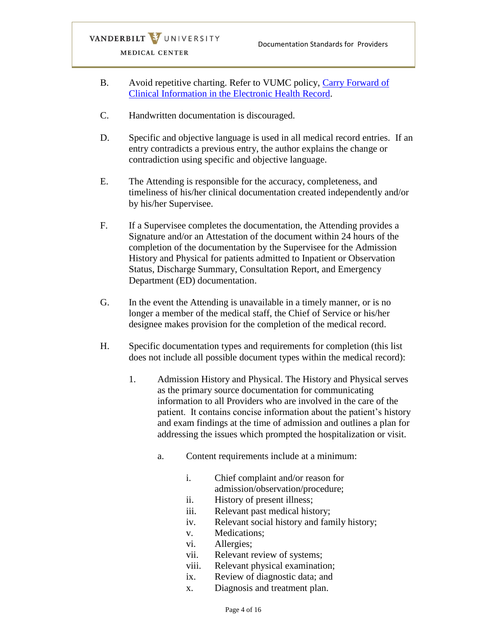MEDICAL CENTER

- B. Avoid repetitive charting. Refer to VUMC policy, Carry Forward of [Clinical Information in the Electronic Health Record.](https://vanderbilt.policytech.com/docview/?docid=15500)
- C. Handwritten documentation is discouraged.
- D. Specific and objective language is used in all medical record entries. If an entry contradicts a previous entry, the author explains the change or contradiction using specific and objective language.
- E. The Attending is responsible for the accuracy, completeness, and timeliness of his/her clinical documentation created independently and/or by his/her Supervisee.
- F. If a Supervisee completes the documentation, the Attending provides a Signature and/or an Attestation of the document within 24 hours of the completion of the documentation by the Supervisee for the Admission History and Physical for patients admitted to Inpatient or Observation Status, Discharge Summary, Consultation Report, and Emergency Department (ED) documentation.
- G. In the event the Attending is unavailable in a timely manner, or is no longer a member of the medical staff, the Chief of Service or his/her designee makes provision for the completion of the medical record.
- H. Specific documentation types and requirements for completion (this list does not include all possible document types within the medical record):
	- 1. Admission History and Physical. The History and Physical serves as the primary source documentation for communicating information to all Providers who are involved in the care of the patient. It contains concise information about the patient's history and exam findings at the time of admission and outlines a plan for addressing the issues which prompted the hospitalization or visit.
		- a. Content requirements include at a minimum:
			- i. Chief complaint and/or reason for admission/observation/procedure;
			- ii. History of present illness;
			- iii. Relevant past medical history;
			- iv. Relevant social history and family history;
			- v. Medications;
			- vi. Allergies;
			- vii. Relevant review of systems;
			- viii. Relevant physical examination;
			- ix. Review of diagnostic data; and
			- x. Diagnosis and treatment plan.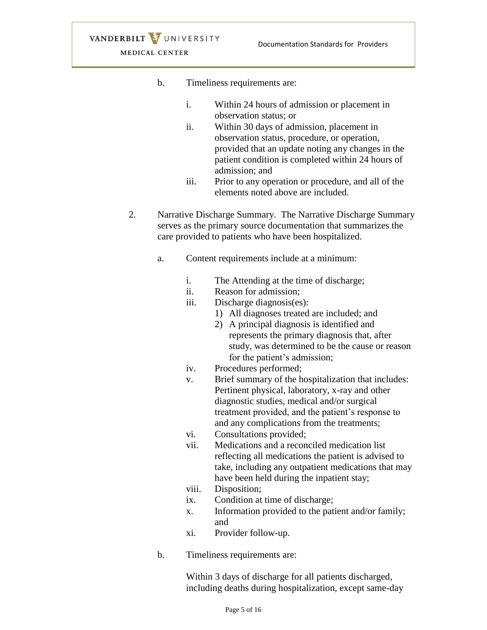MEDICAL CENTER

- b. Timeliness requirements are:
	- i. Within 24 hours of admission or placement in observation status; or
	- ii. Within 30 days of admission, placement in observation status, procedure, or operation, provided that an update noting any changes in the patient condition is completed within 24 hours of admission; and
	- iii. Prior to any operation or procedure, and all of the elements noted above are included.
- 2. Narrative Discharge Summary. The Narrative Discharge Summary serves as the primary source documentation that summarizes the care provided to patients who have been hospitalized.
	- a. Content requirements include at a minimum:
		- i. The Attending at the time of discharge;
		- ii. Reason for admission;
		- iii. Discharge diagnosis(es):
			- 1) All diagnoses treated are included; and
			- 2) A principal diagnosis is identified and represents the primary diagnosis that, after study, was determined to be the cause or reason for the patient's admission;
		- iv. Procedures performed;
		- v. Brief summary of the hospitalization that includes: Pertinent physical, laboratory, x-ray and other diagnostic studies, medical and/or surgical treatment provided, and the patient's response to and any complications from the treatments;
		- vi. Consultations provided;
		- vii. Medications and a reconciled medication list reflecting all medications the patient is advised to take, including any outpatient medications that may have been held during the inpatient stay;
		- viii. Disposition;
		- ix. Condition at time of discharge;
		- x. Information provided to the patient and/or family; and
		- xi. Provider follow-up.
	- b. Timeliness requirements are:

Within 3 days of discharge for all patients discharged, including deaths during hospitalization, except same-day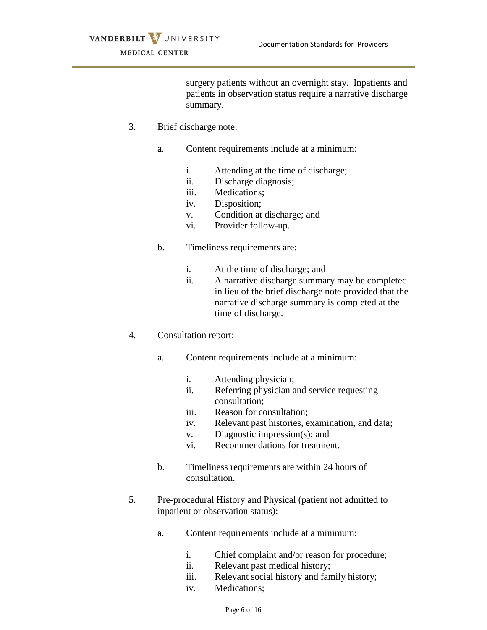surgery patients without an overnight stay. Inpatients and patients in observation status require a narrative discharge summary.

- 3. Brief discharge note:
	- a. Content requirements include at a minimum:
		- i. Attending at the time of discharge;
		- ii. Discharge diagnosis;
		- iii. Medications;
		- iv. Disposition;
		- v. Condition at discharge; and
		- vi. Provider follow-up.
	- b. Timeliness requirements are:
		- i. At the time of discharge; and
		- ii. A narrative discharge summary may be completed in lieu of the brief discharge note provided that the narrative discharge summary is completed at the time of discharge.
- 4. Consultation report:
	- a. Content requirements include at a minimum:
		- i. Attending physician;
		- ii. Referring physician and service requesting consultation;
		- iii. Reason for consultation;
		- iv. Relevant past histories, examination, and data;
		- v. Diagnostic impression(s); and
		- vi. Recommendations for treatment.
	- b. Timeliness requirements are within 24 hours of consultation.
- 5. Pre-procedural History and Physical (patient not admitted to inpatient or observation status):
	- a. Content requirements include at a minimum:
		- i. Chief complaint and/or reason for procedure;
		- ii. Relevant past medical history;
		- iii. Relevant social history and family history;
		- iv. Medications;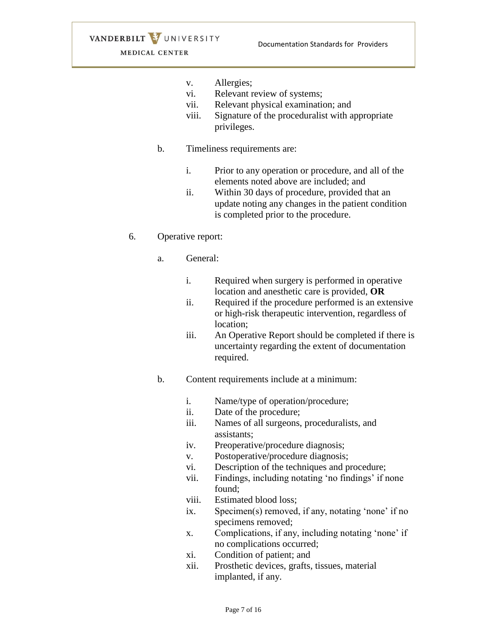- v. Allergies;
- vi. Relevant review of systems;
- vii. Relevant physical examination; and
- viii. Signature of the proceduralist with appropriate privileges.
- b. Timeliness requirements are:
	- i. Prior to any operation or procedure, and all of the elements noted above are included; and
	- ii. Within 30 days of procedure, provided that an update noting any changes in the patient condition is completed prior to the procedure.
- 6. Operative report:
	- a. General:
		- i. Required when surgery is performed in operative location and anesthetic care is provided, **OR**
		- ii. Required if the procedure performed is an extensive or high-risk therapeutic intervention, regardless of location;
		- iii. An Operative Report should be completed if there is uncertainty regarding the extent of documentation required.
	- b. Content requirements include at a minimum:
		- i. Name/type of operation/procedure;
		- ii. Date of the procedure;
		- iii. Names of all surgeons, proceduralists, and assistants;
		- iv. Preoperative/procedure diagnosis;
		- v. Postoperative/procedure diagnosis;
		- vi. Description of the techniques and procedure;
		- vii. Findings, including notating 'no findings' if none found;
		- viii. Estimated blood loss;
		- ix. Specimen(s) removed, if any, notating 'none' if no specimens removed;
		- x. Complications, if any, including notating 'none' if no complications occurred;
		- xi. Condition of patient; and
		- xii. Prosthetic devices, grafts, tissues, material implanted, if any.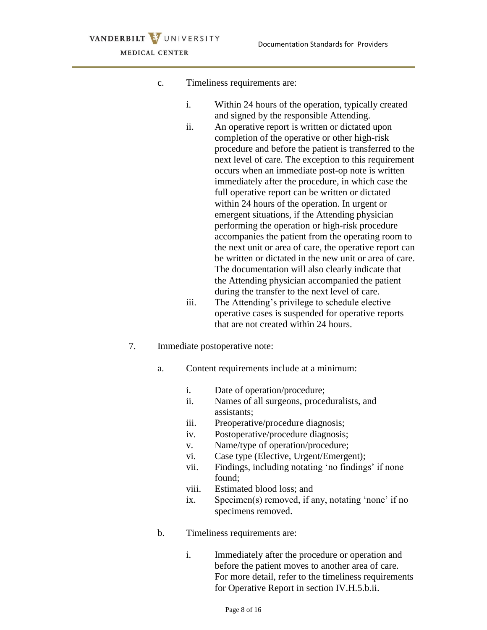MEDICAL CENTER

c. Timeliness requirements are:

- i. Within 24 hours of the operation, typically created and signed by the responsible Attending.
- ii. An operative report is written or dictated upon completion of the operative or other high-risk procedure and before the patient is transferred to the next level of care. The exception to this requirement occurs when an immediate post-op note is written immediately after the procedure, in which case the full operative report can be written or dictated within 24 hours of the operation. In urgent or emergent situations, if the Attending physician performing the operation or high-risk procedure accompanies the patient from the operating room to the next unit or area of care, the operative report can be written or dictated in the new unit or area of care. The documentation will also clearly indicate that the Attending physician accompanied the patient during the transfer to the next level of care.
- iii. The Attending's privilege to schedule elective operative cases is suspended for operative reports that are not created within 24 hours.
- 7. Immediate postoperative note:
	- a. Content requirements include at a minimum:
		- i. Date of operation/procedure;
		- ii. Names of all surgeons, proceduralists, and assistants;
		- iii. Preoperative/procedure diagnosis;
		- iv. Postoperative/procedure diagnosis;
		- v. Name/type of operation/procedure;
		- vi. Case type (Elective, Urgent/Emergent);
		- vii. Findings, including notating 'no findings' if none found;
		- viii. Estimated blood loss; and
		- ix. Specimen(s) removed, if any, notating 'none' if no specimens removed.
	- b. Timeliness requirements are:
		- i. Immediately after the procedure or operation and before the patient moves to another area of care. For more detail, refer to the timeliness requirements for Operative Report in section IV.H.5.b.ii.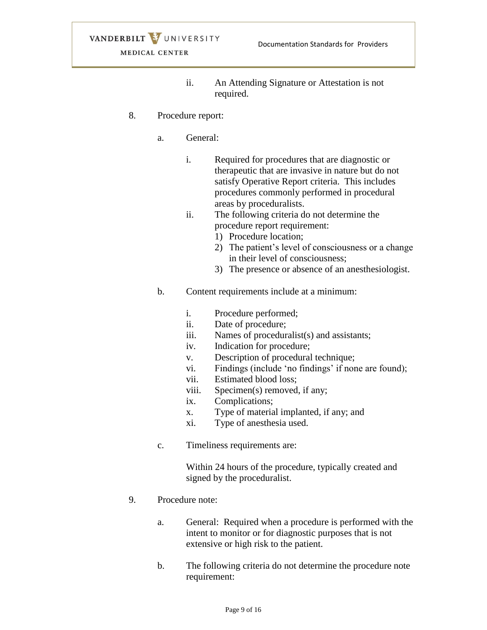- ii. An Attending Signature or Attestation is not required.
- 8. Procedure report:
	- a. General:
		- i. Required for procedures that are diagnostic or therapeutic that are invasive in nature but do not satisfy Operative Report criteria. This includes procedures commonly performed in procedural areas by proceduralists.
		- ii. The following criteria do not determine the procedure report requirement:
			- 1) Procedure location;
			- 2) The patient's level of consciousness or a change in their level of consciousness;
			- 3) The presence or absence of an anesthesiologist.
	- b. Content requirements include at a minimum:
		- i. Procedure performed;
		- ii. Date of procedure;
		- iii. Names of proceduralist(s) and assistants;
		- iv. Indication for procedure;
		- v. Description of procedural technique;
		- vi. Findings (include 'no findings' if none are found);
		- vii. Estimated blood loss;
		- viii. Specimen(s) removed, if any;
		- ix. Complications;
		- x. Type of material implanted, if any; and
		- xi. Type of anesthesia used.
	- c. Timeliness requirements are:

Within 24 hours of the procedure, typically created and signed by the proceduralist.

- 9. Procedure note:
	- a. General: Required when a procedure is performed with the intent to monitor or for diagnostic purposes that is not extensive or high risk to the patient.
	- b. The following criteria do not determine the procedure note requirement: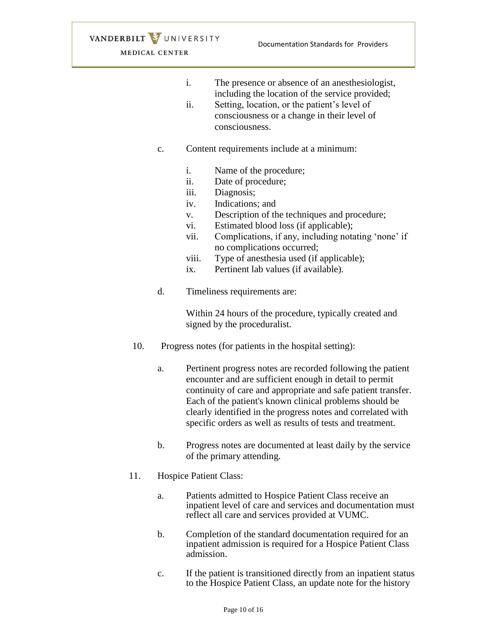MEDICAL CENTER

- i. The presence or absence of an anesthesiologist, including the location of the service provided;
- ii. Setting, location, or the patient's level of consciousness or a change in their level of consciousness.
- c. Content requirements include at a minimum:
	- i. Name of the procedure;
	- ii. Date of procedure;
	- iii. Diagnosis;
	- iv. Indications; and
	- v. Description of the techniques and procedure;
	- vi. Estimated blood loss (if applicable);
	- vii. Complications, if any, including notating 'none' if no complications occurred;
	- viii. Type of anesthesia used (if applicable);
	- ix. Pertinent lab values (if available).
- d. Timeliness requirements are:

Within 24 hours of the procedure, typically created and signed by the proceduralist.

- 10. Progress notes (for patients in the hospital setting):
	- a. Pertinent progress notes are recorded following the patient encounter and are sufficient enough in detail to permit continuity of care and appropriate and safe patient transfer. Each of the patient's known clinical problems should be clearly identified in the progress notes and correlated with specific orders as well as results of tests and treatment.
	- b. Progress notes are documented at least daily by the service of the primary attending.
- 11. Hospice Patient Class:
	- a. Patients admitted to Hospice Patient Class receive an inpatient level of care and services and documentation must reflect all care and services provided at VUMC.
	- b. Completion of the standard documentation required for an inpatient admission is required for a Hospice Patient Class admission.
	- c. If the patient is transitioned directly from an inpatient status to the Hospice Patient Class, an update note for the history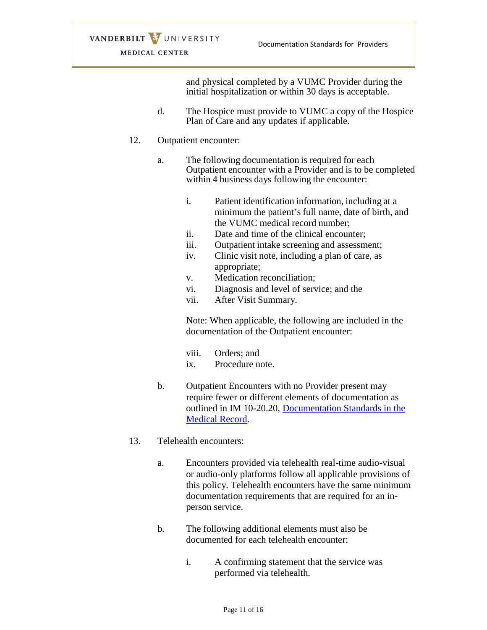and physical completed by a VUMC Provider during the initial hospitalization or within 30 days is acceptable.

- d. The Hospice must provide to VUMC a copy of the Hospice Plan of Care and any updates if applicable.
- 12. Outpatient encounter:
	- a. The following documentation is required for each Outpatient encounter with a Provider and is to be completed within 4 business days following the encounter:
		- i. Patient identification information, including at a minimum the patient's full name, date of birth, and the VUMC medical record number;
		- ii. Date and time of the clinical encounter;
		- iii. Outpatient intake screening and assessment;
		- iv. Clinic visit note, including a plan of care, as appropriate;
		- v. Medication reconciliation;
		- vi. Diagnosis and level of service; and the
		- vii. After Visit Summary.

Note: When applicable, the following are included in the documentation of the Outpatient encounter:

- viii. Orders; and
- ix. Procedure note.
- b. Outpatient Encounters with no Provider present may require fewer or different elements of documentation as outlined in IM 10-20.20, [Documentation Standards in the](https://vanderbilt.policytech.com/docview/?docid=20826)  [Medical Record.](https://vanderbilt.policytech.com/docview/?docid=20826)
- 13. Telehealth encounters:
	- a. Encounters provided via telehealth real-time audio-visual or audio-only platforms follow all applicable provisions of this policy. Telehealth encounters have the same minimum documentation requirements that are required for an inperson service.
	- b. The following additional elements must also be documented for each telehealth encounter:
		- i. A confirming statement that the service was performed via telehealth.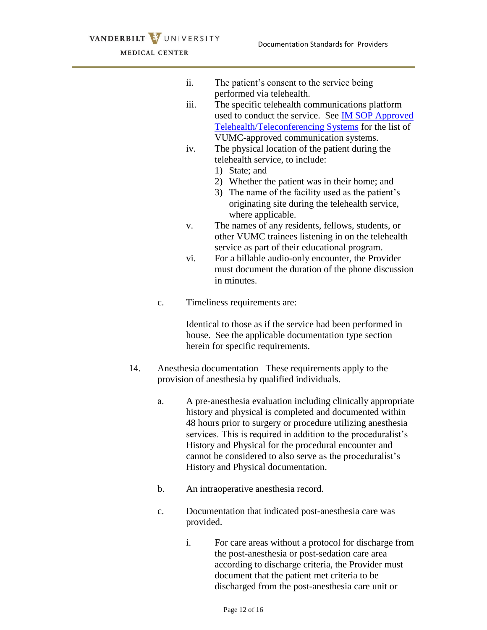MEDICAL CENTER

- ii. The patient's consent to the service being performed via telehealth.
- iii. The specific telehealth communications platform used to conduct the service. See [IM SOP Approved](https://vanderbilt.policytech.com/dotNet/documents/?docid=20594)  [Telehealth/Teleconferencing Systems](https://vanderbilt.policytech.com/dotNet/documents/?docid=20594) for the list of VUMC-approved communication systems.
- iv. The physical location of the patient during the telehealth service, to include:
	- 1) State; and
	- 2) Whether the patient was in their home; and
	- 3) The name of the facility used as the patient's originating site during the telehealth service, where applicable.
- v. The names of any residents, fellows, students, or other VUMC trainees listening in on the telehealth service as part of their educational program.
- vi. For a billable audio-only encounter, the Provider must document the duration of the phone discussion in minutes.
- c. Timeliness requirements are:

Identical to those as if the service had been performed in house. See the applicable documentation type section herein for specific requirements.

- 14. Anesthesia documentation –These requirements apply to the provision of anesthesia by qualified individuals.
	- a. A pre-anesthesia evaluation including clinically appropriate history and physical is completed and documented within 48 hours prior to surgery or procedure utilizing anesthesia services. This is required in addition to the proceduralist's History and Physical for the procedural encounter and cannot be considered to also serve as the proceduralist's History and Physical documentation.
	- b. An intraoperative anesthesia record.
	- c. Documentation that indicated post-anesthesia care was provided.
		- i. For care areas without a protocol for discharge from the post-anesthesia or post-sedation care area according to discharge criteria, the Provider must document that the patient met criteria to be discharged from the post-anesthesia care unit or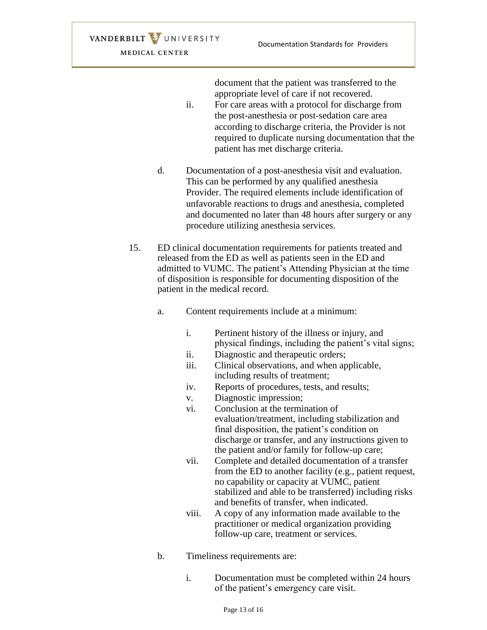MEDICAL CENTER

document that the patient was transferred to the appropriate level of care if not recovered.

- ii. For care areas with a protocol for discharge from the post-anesthesia or post-sedation care area according to discharge criteria, the Provider is not required to duplicate nursing documentation that the patient has met discharge criteria.
- d. Documentation of a post-anesthesia visit and evaluation. This can be performed by any qualified anesthesia Provider. The required elements include identification of unfavorable reactions to drugs and anesthesia, completed and documented no later than 48 hours after surgery or any procedure utilizing anesthesia services.
- 15. ED clinical documentation requirements for patients treated and released from the ED as well as patients seen in the ED and admitted to VUMC. The patient's Attending Physician at the time of disposition is responsible for documenting disposition of the patient in the medical record.
	- a. Content requirements include at a minimum:
		- i. Pertinent history of the illness or injury, and physical findings, including the patient's vital signs;
		- ii. Diagnostic and therapeutic orders;
		- iii. Clinical observations, and when applicable, including results of treatment;
		- iv. Reports of procedures, tests, and results;
		- v. Diagnostic impression;
		- vi. Conclusion at the termination of evaluation/treatment, including stabilization and final disposition, the patient's condition on discharge or transfer, and any instructions given to the patient and/or family for follow-up care;
		- vii. Complete and detailed documentation of a transfer from the ED to another facility (e.g., patient request, no capability or capacity at VUMC, patient stabilized and able to be transferred) including risks and benefits of transfer, when indicated.
		- viii. A copy of any information made available to the practitioner or medical organization providing follow-up care, treatment or services.
	- b. Timeliness requirements are:
		- i. Documentation must be completed within 24 hours of the patient's emergency care visit.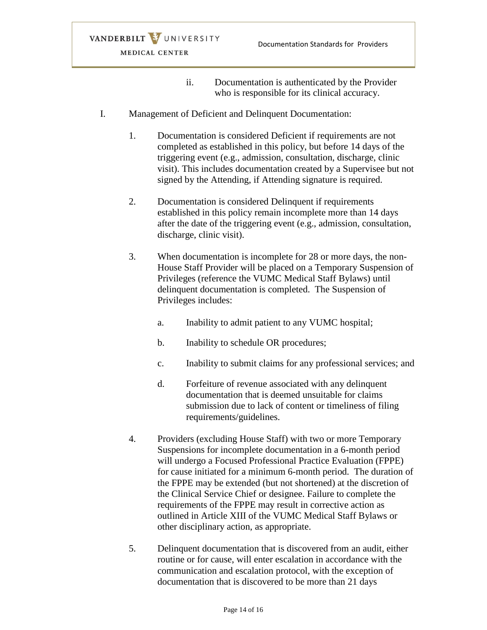MEDICAL CENTER

- ii. Documentation is authenticated by the Provider who is responsible for its clinical accuracy.
- I. Management of Deficient and Delinquent Documentation:
	- 1. Documentation is considered Deficient if requirements are not completed as established in this policy, but before 14 days of the triggering event (e.g., admission, consultation, discharge, clinic visit). This includes documentation created by a Supervisee but not signed by the Attending, if Attending signature is required.
	- 2. Documentation is considered Delinquent if requirements established in this policy remain incomplete more than 14 days after the date of the triggering event (e.g., admission, consultation, discharge, clinic visit).
	- 3. When documentation is incomplete for 28 or more days, the non-House Staff Provider will be placed on a Temporary Suspension of Privileges (reference the VUMC Medical Staff Bylaws) until delinquent documentation is completed. The Suspension of Privileges includes:
		- a. Inability to admit patient to any VUMC hospital;
		- b. Inability to schedule OR procedures;
		- c. Inability to submit claims for any professional services; and
		- d. Forfeiture of revenue associated with any delinquent documentation that is deemed unsuitable for claims submission due to lack of content or timeliness of filing requirements/guidelines.
	- 4. Providers (excluding House Staff) with two or more Temporary Suspensions for incomplete documentation in a 6-month period will undergo a Focused Professional Practice Evaluation (FPPE) for cause initiated for a minimum 6-month period. The duration of the FPPE may be extended (but not shortened) at the discretion of the Clinical Service Chief or designee. Failure to complete the requirements of the FPPE may result in corrective action as outlined in Article XIII of the VUMC Medical Staff Bylaws or other disciplinary action, as appropriate.
	- 5. Delinquent documentation that is discovered from an audit, either routine or for cause, will enter escalation in accordance with the communication and escalation protocol, with the exception of documentation that is discovered to be more than 21 days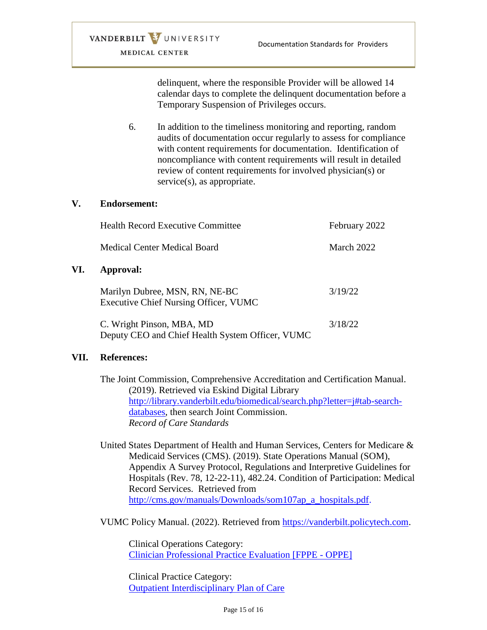delinquent, where the responsible Provider will be allowed 14 calendar days to complete the delinquent documentation before a Temporary Suspension of Privileges occurs.

6. In addition to the timeliness monitoring and reporting, random audits of documentation occur regularly to assess for compliance with content requirements for documentation. Identification of noncompliance with content requirements will result in detailed review of content requirements for involved physician(s) or service(s), as appropriate.

#### **V. Endorsement:**

| <b>Health Record Executive Committee</b>                                      | February 2022 |
|-------------------------------------------------------------------------------|---------------|
| Medical Center Medical Board                                                  | March 2022    |
| Approval:                                                                     |               |
| Marilyn Dubree, MSN, RN, NE-BC<br>Executive Chief Nursing Officer, VUMC       | 3/19/22       |
| C. Wright Pinson, MBA, MD<br>Deputy CEO and Chief Health System Officer, VUMC | 3/18/22       |

## **VII. References:**

**VI. Approval:**

The Joint Commission, Comprehensive Accreditation and Certification Manual. (2019). Retrieved via Eskind Digital Library [http://library.vanderbilt.edu/biomedical/search.php?letter=j#tab-search](http://library.vanderbilt.edu/biomedical/search.php?letter=j#tab-search-databases)[databases,](http://library.vanderbilt.edu/biomedical/search.php?letter=j#tab-search-databases) then search Joint Commission. *Record of Care Standards* 

United States Department of Health and Human Services, Centers for Medicare & Medicaid Services (CMS). (2019). State Operations Manual (SOM), Appendix A Survey Protocol, Regulations and Interpretive Guidelines for Hospitals (Rev. 78, 12-22-11), 482.24. Condition of Participation: Medical Record Services. Retrieved from [http://cms.gov/manuals/Downloads/som107ap\\_a\\_hospitals.pdf.](http://cms.gov/manuals/Downloads/som107ap_a_hospitals.pdf)

VUMC Policy Manual. (2022). Retrieved from [https://vanderbilt.policytech.com.](https://vanderbilt.policytech.com/)

Clinical Operations Category: [Clinician Professional Practice Evaluation \[FPPE -](https://vanderbilt.policytech.com/docview/?docid=26381) OPPE]

Clinical Practice Category: [Outpatient Interdisciplinary Plan of Care](https://vanderbilt.policytech.com/docview/?docid=26720)